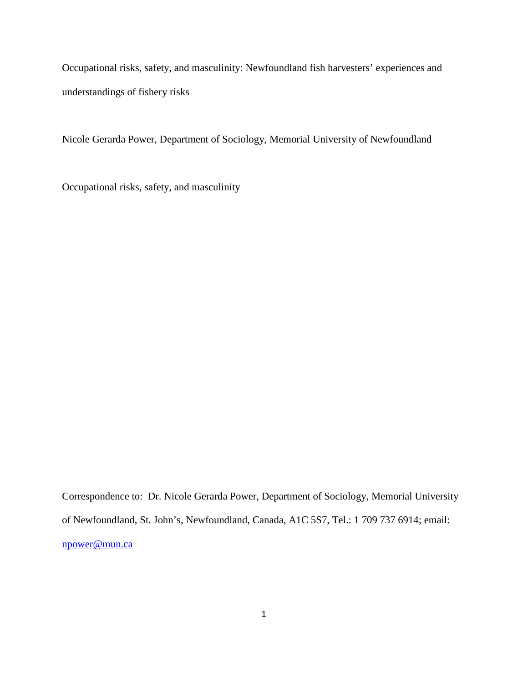Occupational risks, safety, and masculinity: Newfoundland fish harvesters' experiences and understandings of fishery risks

Nicole Gerarda Power, Department of Sociology, Memorial University of Newfoundland

Occupational risks, safety, and masculinity

Correspondence to: Dr. Nicole Gerarda Power, Department of Sociology, Memorial University of Newfoundland, St. John's, Newfoundland, Canada, A1C 5S7, Tel.: 1 709 737 6914; email: [npower@mun.ca](mailto:npower@mun.ca)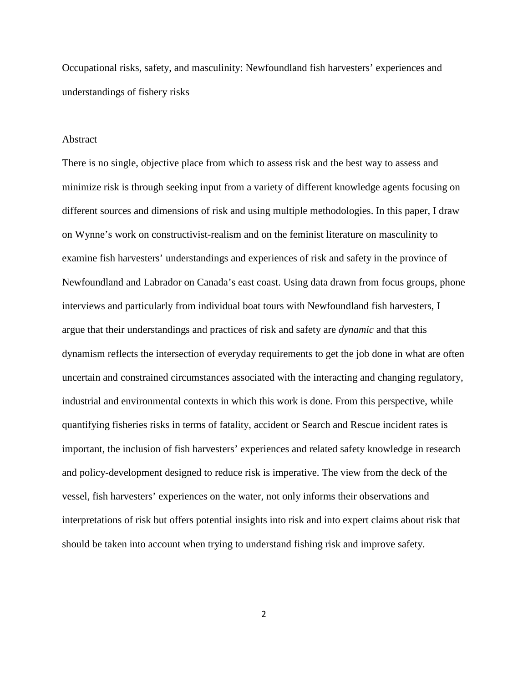Occupational risks, safety, and masculinity: Newfoundland fish harvesters' experiences and understandings of fishery risks

#### Abstract

There is no single, objective place from which to assess risk and the best way to assess and minimize risk is through seeking input from a variety of different knowledge agents focusing on different sources and dimensions of risk and using multiple methodologies. In this paper, I draw on Wynne's work on constructivist-realism and on the feminist literature on masculinity to examine fish harvesters' understandings and experiences of risk and safety in the province of Newfoundland and Labrador on Canada's east coast. Using data drawn from focus groups, phone interviews and particularly from individual boat tours with Newfoundland fish harvesters, I argue that their understandings and practices of risk and safety are *dynamic* and that this dynamism reflects the intersection of everyday requirements to get the job done in what are often uncertain and constrained circumstances associated with the interacting and changing regulatory, industrial and environmental contexts in which this work is done. From this perspective, while quantifying fisheries risks in terms of fatality, accident or Search and Rescue incident rates is important, the inclusion of fish harvesters' experiences and related safety knowledge in research and policy-development designed to reduce risk is imperative. The view from the deck of the vessel, fish harvesters' experiences on the water, not only informs their observations and interpretations of risk but offers potential insights into risk and into expert claims about risk that should be taken into account when trying to understand fishing risk and improve safety.

2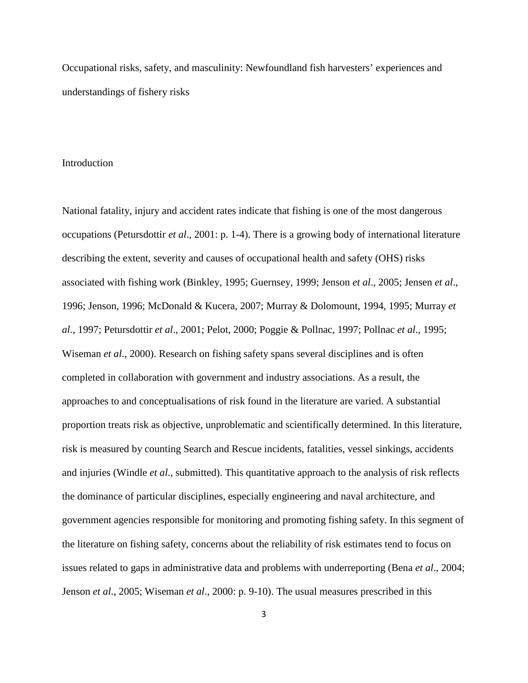Occupational risks, safety, and masculinity: Newfoundland fish harvesters' experiences and understandings of fishery risks

#### Introduction

National fatality, injury and accident rates indicate that fishing is one of the most dangerous occupations (Petursdottir *et al*., 2001: p. 1-4). There is a growing body of international literature describing the extent, severity and causes of occupational health and safety (OHS) risks associated with fishing work (Binkley, 1995; Guernsey, 1999; Jenson *et al*., 2005; Jensen *et al*., 1996; Jenson, 1996; McDonald & Kucera, 2007; Murray & Dolomount, 1994, 1995; Murray *et al.,* 1997; Petursdottir *et al*., 2001; Pelot, 2000; Poggie & Pollnac, 1997; Pollnac *et al*., 1995; Wiseman *et al*., 2000). Research on fishing safety spans several disciplines and is often completed in collaboration with government and industry associations. As a result, the approaches to and conceptualisations of risk found in the literature are varied. A substantial proportion treats risk as objective, unproblematic and scientifically determined. In this literature, risk is measured by counting Search and Rescue incidents, fatalities, vessel sinkings, accidents and injuries (Windle *et al*., submitted). This quantitative approach to the analysis of risk reflects the dominance of particular disciplines, especially engineering and naval architecture, and government agencies responsible for monitoring and promoting fishing safety. In this segment of the literature on fishing safety, concerns about the reliability of risk estimates tend to focus on issues related to gaps in administrative data and problems with underreporting (Bena *et al*., 2004; Jenson *et al*., 2005; Wiseman *et al*., 2000: p. 9-10). The usual measures prescribed in this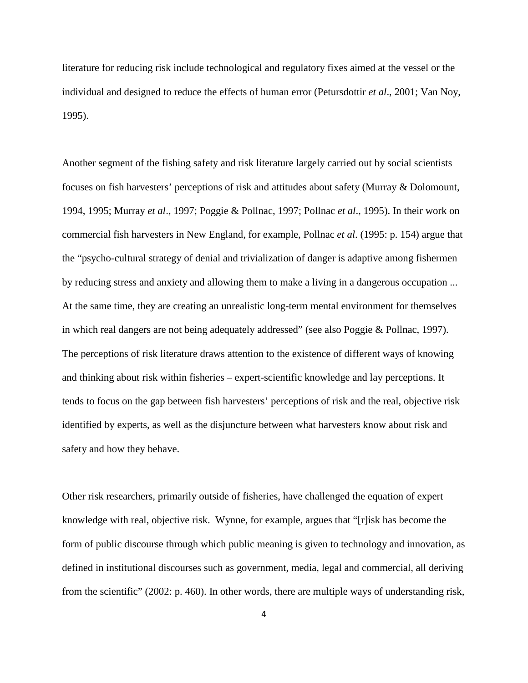literature for reducing risk include technological and regulatory fixes aimed at the vessel or the individual and designed to reduce the effects of human error (Petursdottir *et al*., 2001; Van Noy, 1995).

Another segment of the fishing safety and risk literature largely carried out by social scientists focuses on fish harvesters' perceptions of risk and attitudes about safety (Murray & Dolomount, 1994, 1995; Murray *et al*., 1997; Poggie & Pollnac, 1997; Pollnac *et al*., 1995). In their work on commercial fish harvesters in New England, for example, Pollnac *et al*. (1995: p. 154) argue that the "psycho-cultural strategy of denial and trivialization of danger is adaptive among fishermen by reducing stress and anxiety and allowing them to make a living in a dangerous occupation ... At the same time, they are creating an unrealistic long-term mental environment for themselves in which real dangers are not being adequately addressed" (see also Poggie & Pollnac, 1997). The perceptions of risk literature draws attention to the existence of different ways of knowing and thinking about risk within fisheries – expert-scientific knowledge and lay perceptions. It tends to focus on the gap between fish harvesters' perceptions of risk and the real, objective risk identified by experts, as well as the disjuncture between what harvesters know about risk and safety and how they behave.

Other risk researchers, primarily outside of fisheries, have challenged the equation of expert knowledge with real, objective risk. Wynne, for example, argues that "[r]isk has become the form of public discourse through which public meaning is given to technology and innovation, as defined in institutional discourses such as government, media, legal and commercial, all deriving from the scientific" (2002: p. 460). In other words, there are multiple ways of understanding risk,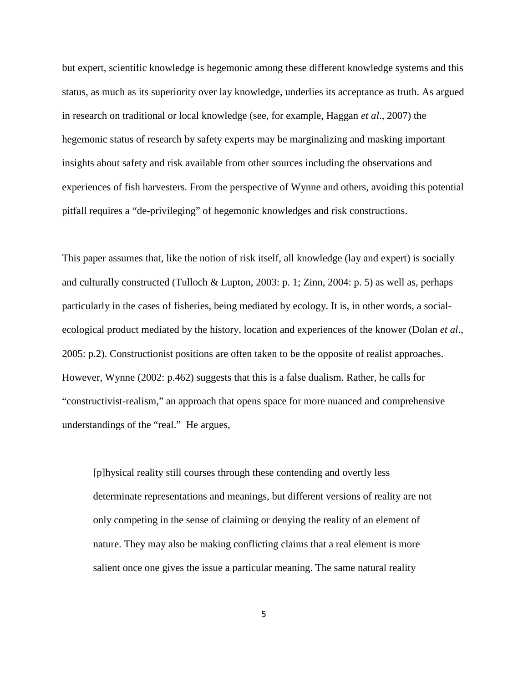but expert, scientific knowledge is hegemonic among these different knowledge systems and this status, as much as its superiority over lay knowledge, underlies its acceptance as truth. As argued in research on traditional or local knowledge (see, for example, Haggan *et al*., 2007) the hegemonic status of research by safety experts may be marginalizing and masking important insights about safety and risk available from other sources including the observations and experiences of fish harvesters. From the perspective of Wynne and others, avoiding this potential pitfall requires a "de-privileging" of hegemonic knowledges and risk constructions.

This paper assumes that, like the notion of risk itself, all knowledge (lay and expert) is socially and culturally constructed (Tulloch & Lupton, 2003: p. 1; Zinn, 2004: p. 5) as well as, perhaps particularly in the cases of fisheries, being mediated by ecology. It is, in other words, a socialecological product mediated by the history, location and experiences of the knower (Dolan *et al*., 2005: p.2). Constructionist positions are often taken to be the opposite of realist approaches. However, Wynne (2002: p.462) suggests that this is a false dualism. Rather, he calls for "constructivist-realism," an approach that opens space for more nuanced and comprehensive understandings of the "real." He argues,

[p]hysical reality still courses through these contending and overtly less determinate representations and meanings, but different versions of reality are not only competing in the sense of claiming or denying the reality of an element of nature. They may also be making conflicting claims that a real element is more salient once one gives the issue a particular meaning. The same natural reality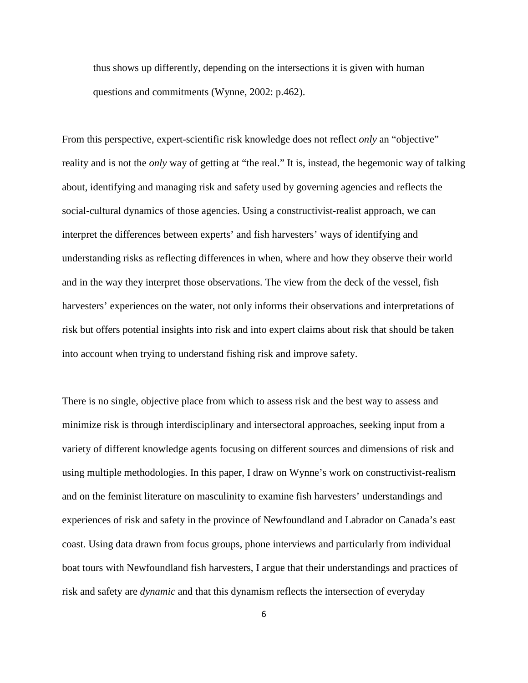thus shows up differently, depending on the intersections it is given with human questions and commitments (Wynne, 2002: p.462).

From this perspective, expert-scientific risk knowledge does not reflect *only* an "objective" reality and is not the *only* way of getting at "the real." It is, instead, the hegemonic way of talking about, identifying and managing risk and safety used by governing agencies and reflects the social-cultural dynamics of those agencies. Using a constructivist-realist approach, we can interpret the differences between experts' and fish harvesters' ways of identifying and understanding risks as reflecting differences in when, where and how they observe their world and in the way they interpret those observations. The view from the deck of the vessel, fish harvesters' experiences on the water, not only informs their observations and interpretations of risk but offers potential insights into risk and into expert claims about risk that should be taken into account when trying to understand fishing risk and improve safety.

There is no single, objective place from which to assess risk and the best way to assess and minimize risk is through interdisciplinary and intersectoral approaches, seeking input from a variety of different knowledge agents focusing on different sources and dimensions of risk and using multiple methodologies. In this paper, I draw on Wynne's work on constructivist-realism and on the feminist literature on masculinity to examine fish harvesters' understandings and experiences of risk and safety in the province of Newfoundland and Labrador on Canada's east coast. Using data drawn from focus groups, phone interviews and particularly from individual boat tours with Newfoundland fish harvesters, I argue that their understandings and practices of risk and safety are *dynamic* and that this dynamism reflects the intersection of everyday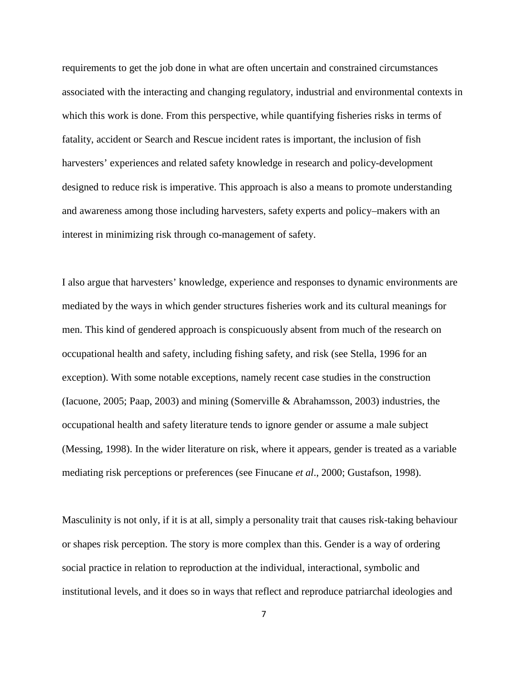requirements to get the job done in what are often uncertain and constrained circumstances associated with the interacting and changing regulatory, industrial and environmental contexts in which this work is done. From this perspective, while quantifying fisheries risks in terms of fatality, accident or Search and Rescue incident rates is important, the inclusion of fish harvesters' experiences and related safety knowledge in research and policy-development designed to reduce risk is imperative. This approach is also a means to promote understanding and awareness among those including harvesters, safety experts and policy–makers with an interest in minimizing risk through co-management of safety.

I also argue that harvesters' knowledge, experience and responses to dynamic environments are mediated by the ways in which gender structures fisheries work and its cultural meanings for men. This kind of gendered approach is conspicuously absent from much of the research on occupational health and safety, including fishing safety, and risk (see Stella, 1996 for an exception). With some notable exceptions, namely recent case studies in the construction (Iacuone, 2005; Paap, 2003) and mining (Somerville & Abrahamsson, 2003) industries, the occupational health and safety literature tends to ignore gender or assume a male subject (Messing, 1998). In the wider literature on risk, where it appears, gender is treated as a variable mediating risk perceptions or preferences (see Finucane *et al*., 2000; Gustafson, 1998).

Masculinity is not only, if it is at all, simply a personality trait that causes risk-taking behaviour or shapes risk perception. The story is more complex than this. Gender is a way of ordering social practice in relation to reproduction at the individual, interactional, symbolic and institutional levels, and it does so in ways that reflect and reproduce patriarchal ideologies and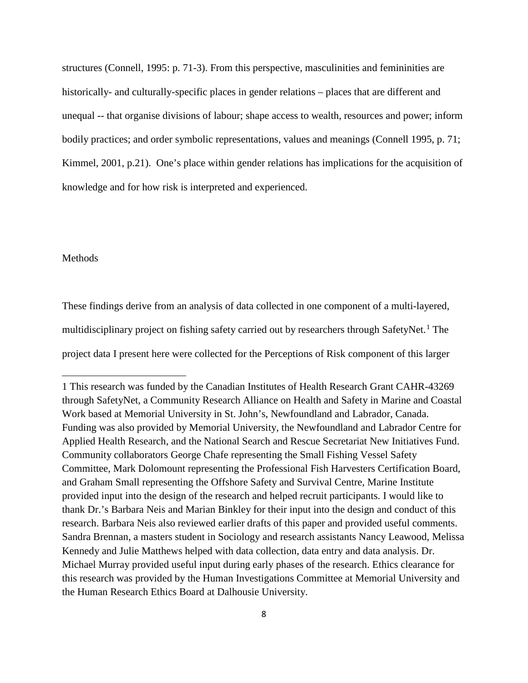structures (Connell, 1995: p. 71-3). From this perspective, masculinities and femininities are historically- and culturally-specific places in gender relations – places that are different and unequal -- that organise divisions of labour; shape access to wealth, resources and power; inform bodily practices; and order symbolic representations, values and meanings (Connell 1995, p. 71; Kimmel, 2001, p.21). One's place within gender relations has implications for the acquisition of knowledge and for how risk is interpreted and experienced.

## Methods

l

These findings derive from an analysis of data collected in one component of a multi-layered, multidisciplinary project on fishing safety carried out by researchers through SafetyNet. [1](#page-7-0) The project data I present here were collected for the Perceptions of Risk component of this larger

<span id="page-7-0"></span><sup>1</sup> This research was funded by the Canadian Institutes of Health Research Grant CAHR-43269 through SafetyNet, a Community Research Alliance on Health and Safety in Marine and Coastal Work based at Memorial University in St. John's, Newfoundland and Labrador, Canada. Funding was also provided by Memorial University, the Newfoundland and Labrador Centre for Applied Health Research, and the National Search and Rescue Secretariat New Initiatives Fund. Community collaborators George Chafe representing the Small Fishing Vessel Safety Committee, Mark Dolomount representing the Professional Fish Harvesters Certification Board, and Graham Small representing the Offshore Safety and Survival Centre, Marine Institute provided input into the design of the research and helped recruit participants. I would like to thank Dr.'s Barbara Neis and Marian Binkley for their input into the design and conduct of this research. Barbara Neis also reviewed earlier drafts of this paper and provided useful comments. Sandra Brennan, a masters student in Sociology and research assistants Nancy Leawood, Melissa Kennedy and Julie Matthews helped with data collection, data entry and data analysis. Dr. Michael Murray provided useful input during early phases of the research. Ethics clearance for this research was provided by the Human Investigations Committee at Memorial University and the Human Research Ethics Board at Dalhousie University.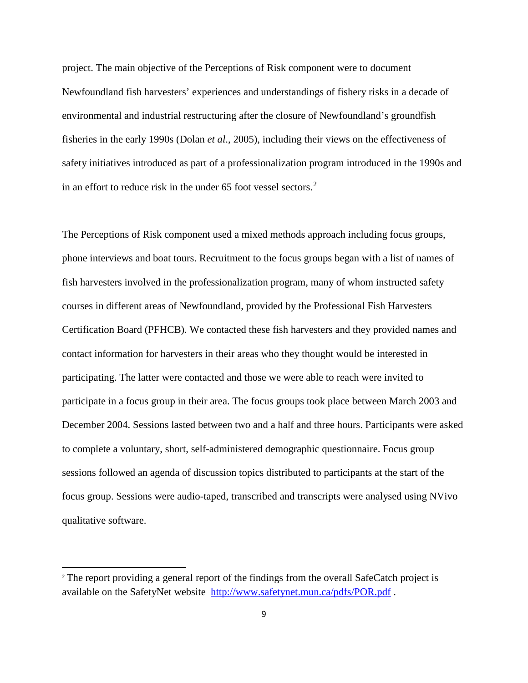project. The main objective of the Perceptions of Risk component were to document Newfoundland fish harvesters' experiences and understandings of fishery risks in a decade of environmental and industrial restructuring after the closure of Newfoundland's groundfish fisheries in the early 1990s (Dolan *et al*., 2005), including their views on the effectiveness of safety initiatives introduced as part of a professionalization program introduced in the 1990s and in an effort to reduce risk in the under 65 foot vessel sectors.<sup>[2](#page-8-0)</sup>

The Perceptions of Risk component used a mixed methods approach including focus groups, phone interviews and boat tours. Recruitment to the focus groups began with a list of names of fish harvesters involved in the professionalization program, many of whom instructed safety courses in different areas of Newfoundland, provided by the Professional Fish Harvesters Certification Board (PFHCB). We contacted these fish harvesters and they provided names and contact information for harvesters in their areas who they thought would be interested in participating. The latter were contacted and those we were able to reach were invited to participate in a focus group in their area. The focus groups took place between March 2003 and December 2004. Sessions lasted between two and a half and three hours. Participants were asked to complete a voluntary, short, self-administered demographic questionnaire. Focus group sessions followed an agenda of discussion topics distributed to participants at the start of the focus group. Sessions were audio-taped, transcribed and transcripts were analysed using NVivo qualitative software.

 $\overline{\phantom{a}}$ 

<span id="page-8-0"></span><sup>&</sup>lt;sup>2</sup> The report providing a general report of the findings from the overall SafeCatch project is available on the SafetyNet website <http://www.safetynet.mun.ca/pdfs/POR.pdf> .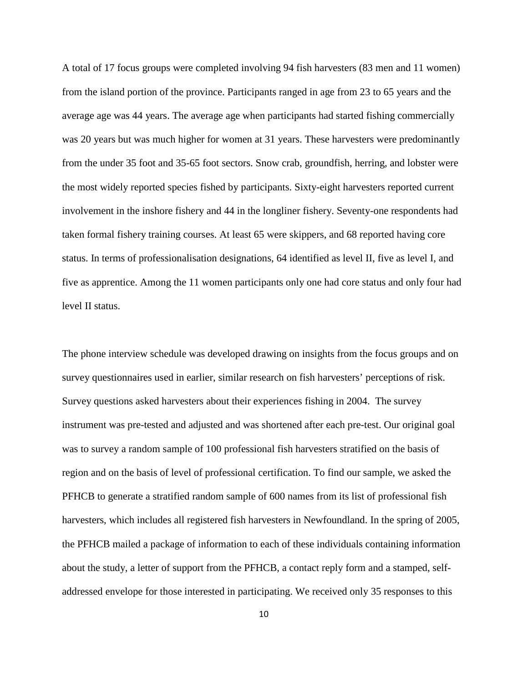A total of 17 focus groups were completed involving 94 fish harvesters (83 men and 11 women) from the island portion of the province. Participants ranged in age from 23 to 65 years and the average age was 44 years. The average age when participants had started fishing commercially was 20 years but was much higher for women at 31 years. These harvesters were predominantly from the under 35 foot and 35-65 foot sectors. Snow crab, groundfish, herring, and lobster were the most widely reported species fished by participants. Sixty-eight harvesters reported current involvement in the inshore fishery and 44 in the longliner fishery. Seventy-one respondents had taken formal fishery training courses. At least 65 were skippers, and 68 reported having core status. In terms of professionalisation designations, 64 identified as level II, five as level I, and five as apprentice. Among the 11 women participants only one had core status and only four had level II status.

The phone interview schedule was developed drawing on insights from the focus groups and on survey questionnaires used in earlier, similar research on fish harvesters' perceptions of risk. Survey questions asked harvesters about their experiences fishing in 2004. The survey instrument was pre-tested and adjusted and was shortened after each pre-test. Our original goal was to survey a random sample of 100 professional fish harvesters stratified on the basis of region and on the basis of level of professional certification. To find our sample, we asked the PFHCB to generate a stratified random sample of 600 names from its list of professional fish harvesters, which includes all registered fish harvesters in Newfoundland. In the spring of 2005, the PFHCB mailed a package of information to each of these individuals containing information about the study, a letter of support from the PFHCB, a contact reply form and a stamped, selfaddressed envelope for those interested in participating. We received only 35 responses to this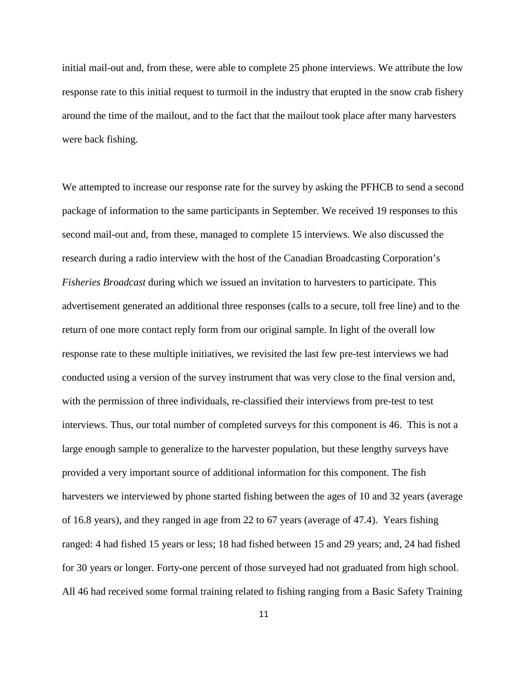initial mail-out and, from these, were able to complete 25 phone interviews. We attribute the low response rate to this initial request to turmoil in the industry that erupted in the snow crab fishery around the time of the mailout, and to the fact that the mailout took place after many harvesters were back fishing.

We attempted to increase our response rate for the survey by asking the PFHCB to send a second package of information to the same participants in September. We received 19 responses to this second mail-out and, from these, managed to complete 15 interviews. We also discussed the research during a radio interview with the host of the Canadian Broadcasting Corporation's *Fisheries Broadcast* during which we issued an invitation to harvesters to participate. This advertisement generated an additional three responses (calls to a secure, toll free line) and to the return of one more contact reply form from our original sample. In light of the overall low response rate to these multiple initiatives, we revisited the last few pre-test interviews we had conducted using a version of the survey instrument that was very close to the final version and, with the permission of three individuals, re-classified their interviews from pre-test to test interviews. Thus, our total number of completed surveys for this component is 46. This is not a large enough sample to generalize to the harvester population, but these lengthy surveys have provided a very important source of additional information for this component. The fish harvesters we interviewed by phone started fishing between the ages of 10 and 32 years (average of 16.8 years), and they ranged in age from 22 to 67 years (average of 47.4). Years fishing ranged: 4 had fished 15 years or less; 18 had fished between 15 and 29 years; and, 24 had fished for 30 years or longer. Forty-one percent of those surveyed had not graduated from high school. All 46 had received some formal training related to fishing ranging from a Basic Safety Training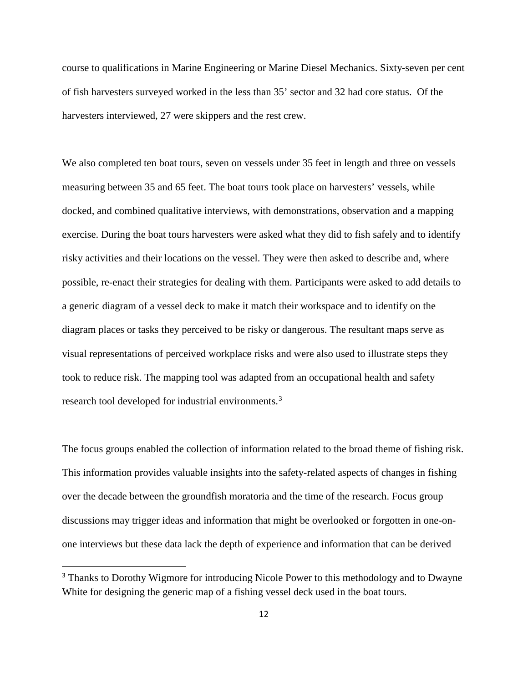course to qualifications in Marine Engineering or Marine Diesel Mechanics. Sixty-seven per cent of fish harvesters surveyed worked in the less than 35' sector and 32 had core status. Of the harvesters interviewed, 27 were skippers and the rest crew.

We also completed ten boat tours, seven on vessels under 35 feet in length and three on vessels measuring between 35 and 65 feet. The boat tours took place on harvesters' vessels, while docked, and combined qualitative interviews, with demonstrations, observation and a mapping exercise. During the boat tours harvesters were asked what they did to fish safely and to identify risky activities and their locations on the vessel. They were then asked to describe and, where possible, re-enact their strategies for dealing with them. Participants were asked to add details to a generic diagram of a vessel deck to make it match their workspace and to identify on the diagram places or tasks they perceived to be risky or dangerous. The resultant maps serve as visual representations of perceived workplace risks and were also used to illustrate steps they took to reduce risk. The mapping tool was adapted from an occupational health and safety research tool developed for industrial environments.[3](#page-11-0)

The focus groups enabled the collection of information related to the broad theme of fishing risk. This information provides valuable insights into the safety-related aspects of changes in fishing over the decade between the groundfish moratoria and the time of the research. Focus group discussions may trigger ideas and information that might be overlooked or forgotten in one-onone interviews but these data lack the depth of experience and information that can be derived

 $\overline{\phantom{a}}$ 

<span id="page-11-0"></span><sup>&</sup>lt;sup>3</sup> Thanks to Dorothy Wigmore for introducing Nicole Power to this methodology and to Dwayne White for designing the generic map of a fishing vessel deck used in the boat tours.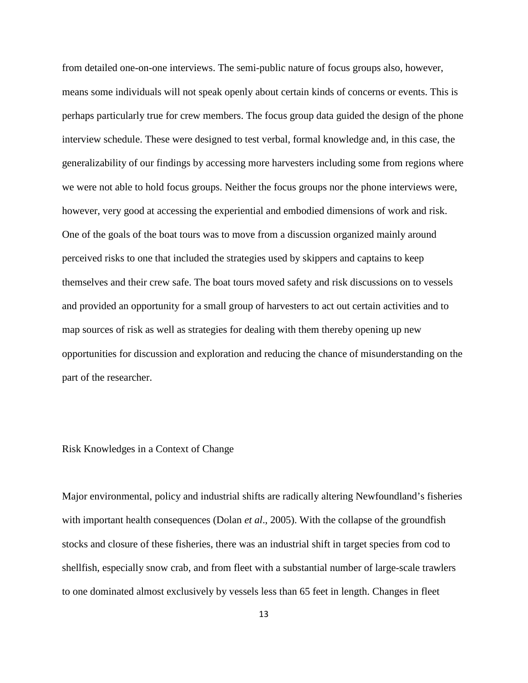from detailed one-on-one interviews. The semi-public nature of focus groups also, however, means some individuals will not speak openly about certain kinds of concerns or events. This is perhaps particularly true for crew members. The focus group data guided the design of the phone interview schedule. These were designed to test verbal, formal knowledge and, in this case, the generalizability of our findings by accessing more harvesters including some from regions where we were not able to hold focus groups. Neither the focus groups nor the phone interviews were, however, very good at accessing the experiential and embodied dimensions of work and risk. One of the goals of the boat tours was to move from a discussion organized mainly around perceived risks to one that included the strategies used by skippers and captains to keep themselves and their crew safe. The boat tours moved safety and risk discussions on to vessels and provided an opportunity for a small group of harvesters to act out certain activities and to map sources of risk as well as strategies for dealing with them thereby opening up new opportunities for discussion and exploration and reducing the chance of misunderstanding on the part of the researcher.

# Risk Knowledges in a Context of Change

Major environmental, policy and industrial shifts are radically altering Newfoundland's fisheries with important health consequences (Dolan *et al.*, 2005). With the collapse of the groundfish stocks and closure of these fisheries, there was an industrial shift in target species from cod to shellfish, especially snow crab, and from fleet with a substantial number of large-scale trawlers to one dominated almost exclusively by vessels less than 65 feet in length. Changes in fleet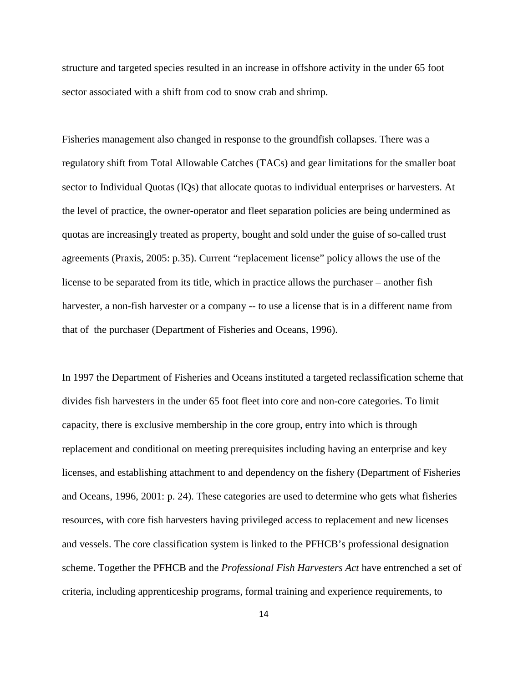structure and targeted species resulted in an increase in offshore activity in the under 65 foot sector associated with a shift from cod to snow crab and shrimp.

Fisheries management also changed in response to the groundfish collapses. There was a regulatory shift from Total Allowable Catches (TACs) and gear limitations for the smaller boat sector to Individual Quotas (IQs) that allocate quotas to individual enterprises or harvesters. At the level of practice, the owner-operator and fleet separation policies are being undermined as quotas are increasingly treated as property, bought and sold under the guise of so-called trust agreements (Praxis, 2005: p.35). Current "replacement license" policy allows the use of the license to be separated from its title, which in practice allows the purchaser – another fish harvester, a non-fish harvester or a company -- to use a license that is in a different name from that of the purchaser (Department of Fisheries and Oceans, 1996).

In 1997 the Department of Fisheries and Oceans instituted a targeted reclassification scheme that divides fish harvesters in the under 65 foot fleet into core and non-core categories. To limit capacity, there is exclusive membership in the core group, entry into which is through replacement and conditional on meeting prerequisites including having an enterprise and key licenses, and establishing attachment to and dependency on the fishery (Department of Fisheries and Oceans, 1996, 2001: p. 24). These categories are used to determine who gets what fisheries resources, with core fish harvesters having privileged access to replacement and new licenses and vessels. The core classification system is linked to the PFHCB's professional designation scheme. Together the PFHCB and the *Professional Fish Harvesters Act* have entrenched a set of criteria, including apprenticeship programs, formal training and experience requirements, to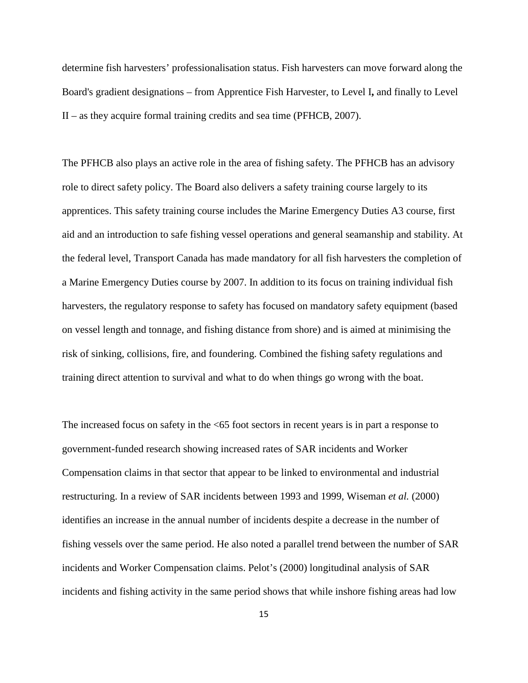determine fish harvesters' professionalisation status. Fish harvesters can move forward along the Board's gradient designations – from Apprentice Fish Harvester, to Level I**,** and finally to Level  $II$  – as they acquire formal training credits and sea time (PFHCB, 2007).

The PFHCB also plays an active role in the area of fishing safety. The PFHCB has an advisory role to direct safety policy. The Board also delivers a safety training course largely to its apprentices. This safety training course includes the Marine Emergency Duties A3 course, first aid and an introduction to safe fishing vessel operations and general seamanship and stability. At the federal level, Transport Canada has made mandatory for all fish harvesters the completion of a Marine Emergency Duties course by 2007. In addition to its focus on training individual fish harvesters, the regulatory response to safety has focused on mandatory safety equipment (based on vessel length and tonnage, and fishing distance from shore) and is aimed at minimising the risk of sinking, collisions, fire, and foundering. Combined the fishing safety regulations and training direct attention to survival and what to do when things go wrong with the boat.

The increased focus on safety in the <65 foot sectors in recent years is in part a response to government-funded research showing increased rates of SAR incidents and Worker Compensation claims in that sector that appear to be linked to environmental and industrial restructuring. In a review of SAR incidents between 1993 and 1999, Wiseman *et al.* (2000) identifies an increase in the annual number of incidents despite a decrease in the number of fishing vessels over the same period. He also noted a parallel trend between the number of SAR incidents and Worker Compensation claims. Pelot's (2000) longitudinal analysis of SAR incidents and fishing activity in the same period shows that while inshore fishing areas had low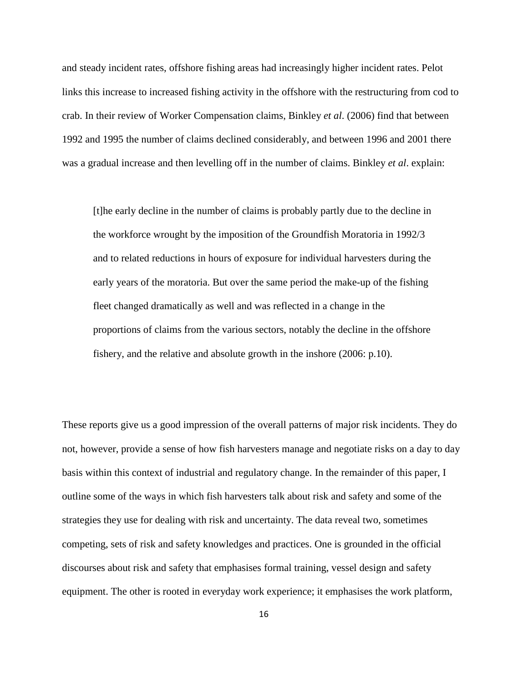and steady incident rates, offshore fishing areas had increasingly higher incident rates. Pelot links this increase to increased fishing activity in the offshore with the restructuring from cod to crab. In their review of Worker Compensation claims, Binkley *et al*. (2006) find that between 1992 and 1995 the number of claims declined considerably, and between 1996 and 2001 there was a gradual increase and then levelling off in the number of claims. Binkley *et al*. explain:

[t]he early decline in the number of claims is probably partly due to the decline in the workforce wrought by the imposition of the Groundfish Moratoria in 1992/3 and to related reductions in hours of exposure for individual harvesters during the early years of the moratoria. But over the same period the make-up of the fishing fleet changed dramatically as well and was reflected in a change in the proportions of claims from the various sectors, notably the decline in the offshore fishery, and the relative and absolute growth in the inshore (2006: p.10).

These reports give us a good impression of the overall patterns of major risk incidents. They do not, however, provide a sense of how fish harvesters manage and negotiate risks on a day to day basis within this context of industrial and regulatory change. In the remainder of this paper, I outline some of the ways in which fish harvesters talk about risk and safety and some of the strategies they use for dealing with risk and uncertainty. The data reveal two, sometimes competing, sets of risk and safety knowledges and practices. One is grounded in the official discourses about risk and safety that emphasises formal training, vessel design and safety equipment. The other is rooted in everyday work experience; it emphasises the work platform,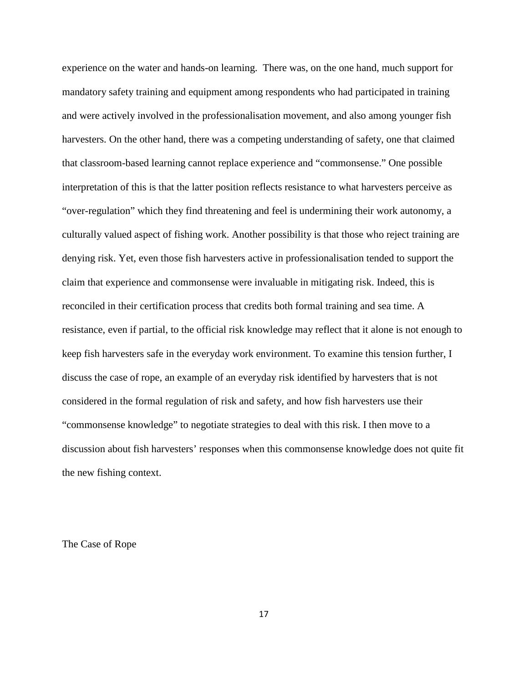experience on the water and hands-on learning. There was, on the one hand, much support for mandatory safety training and equipment among respondents who had participated in training and were actively involved in the professionalisation movement, and also among younger fish harvesters. On the other hand, there was a competing understanding of safety, one that claimed that classroom-based learning cannot replace experience and "commonsense." One possible interpretation of this is that the latter position reflects resistance to what harvesters perceive as "over-regulation" which they find threatening and feel is undermining their work autonomy, a culturally valued aspect of fishing work. Another possibility is that those who reject training are denying risk. Yet, even those fish harvesters active in professionalisation tended to support the claim that experience and commonsense were invaluable in mitigating risk. Indeed, this is reconciled in their certification process that credits both formal training and sea time. A resistance, even if partial, to the official risk knowledge may reflect that it alone is not enough to keep fish harvesters safe in the everyday work environment. To examine this tension further, I discuss the case of rope, an example of an everyday risk identified by harvesters that is not considered in the formal regulation of risk and safety, and how fish harvesters use their "commonsense knowledge" to negotiate strategies to deal with this risk. I then move to a discussion about fish harvesters' responses when this commonsense knowledge does not quite fit the new fishing context.

The Case of Rope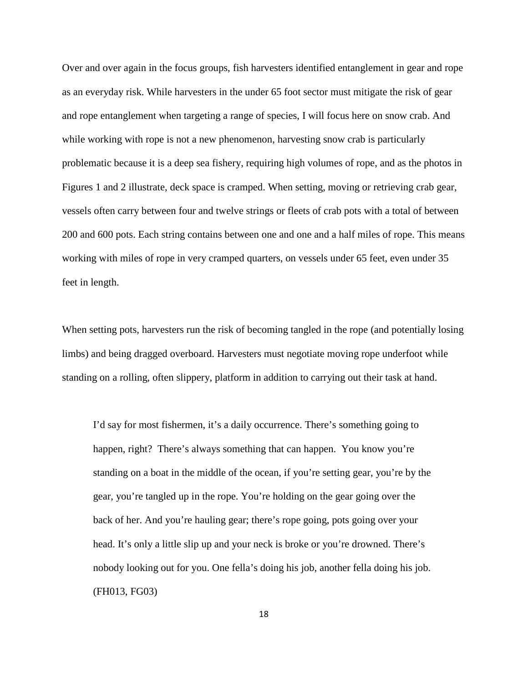Over and over again in the focus groups, fish harvesters identified entanglement in gear and rope as an everyday risk. While harvesters in the under 65 foot sector must mitigate the risk of gear and rope entanglement when targeting a range of species, I will focus here on snow crab. And while working with rope is not a new phenomenon, harvesting snow crab is particularly problematic because it is a deep sea fishery, requiring high volumes of rope, and as the photos in Figures 1 and 2 illustrate, deck space is cramped. When setting, moving or retrieving crab gear, vessels often carry between four and twelve strings or fleets of crab pots with a total of between 200 and 600 pots. Each string contains between one and one and a half miles of rope. This means working with miles of rope in very cramped quarters, on vessels under 65 feet, even under 35 feet in length.

When setting pots, harvesters run the risk of becoming tangled in the rope (and potentially losing limbs) and being dragged overboard. Harvesters must negotiate moving rope underfoot while standing on a rolling, often slippery, platform in addition to carrying out their task at hand.

I'd say for most fishermen, it's a daily occurrence. There's something going to happen, right? There's always something that can happen. You know you're standing on a boat in the middle of the ocean, if you're setting gear, you're by the gear, you're tangled up in the rope. You're holding on the gear going over the back of her. And you're hauling gear; there's rope going, pots going over your head. It's only a little slip up and your neck is broke or you're drowned. There's nobody looking out for you. One fella's doing his job, another fella doing his job. (FH013, FG03)

18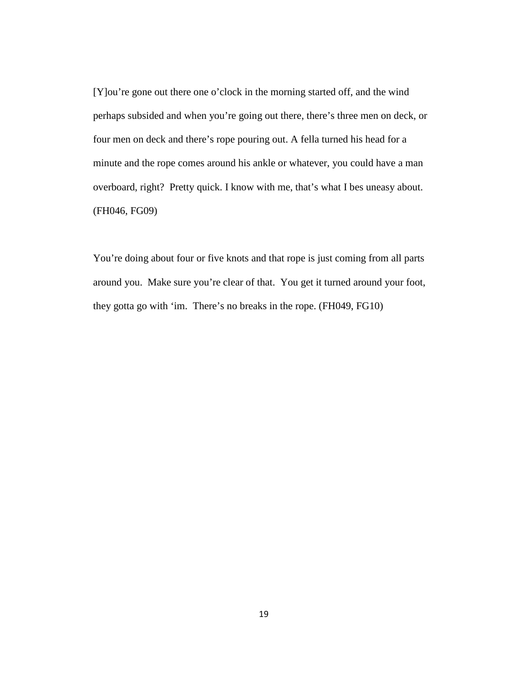[Y]ou're gone out there one o'clock in the morning started off, and the wind perhaps subsided and when you're going out there, there's three men on deck, or four men on deck and there's rope pouring out. A fella turned his head for a minute and the rope comes around his ankle or whatever, you could have a man overboard, right? Pretty quick. I know with me, that's what I bes uneasy about. (FH046, FG09)

You're doing about four or five knots and that rope is just coming from all parts around you. Make sure you're clear of that. You get it turned around your foot, they gotta go with 'im. There's no breaks in the rope. (FH049, FG10)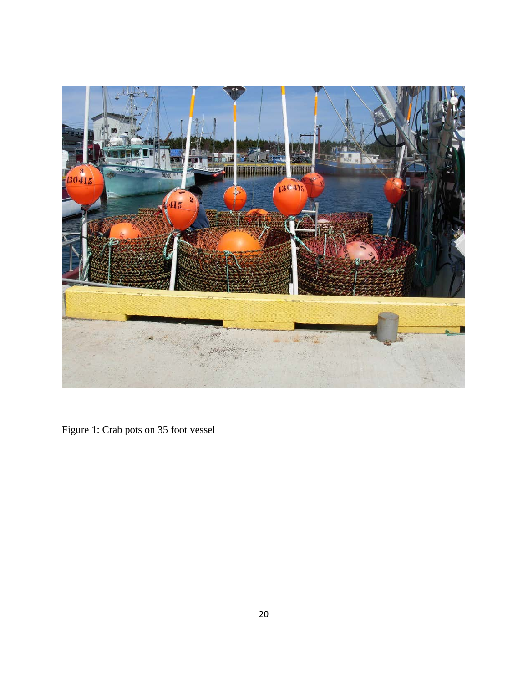

Figure 1: Crab pots on 35 foot vessel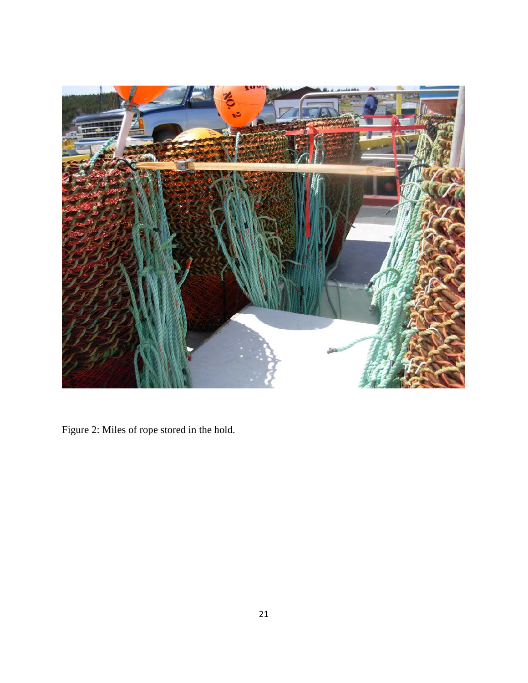

Figure 2: Miles of rope stored in the hold.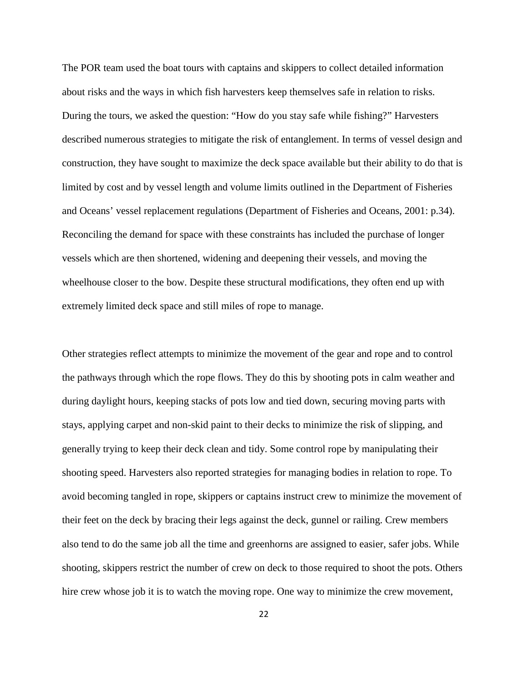The POR team used the boat tours with captains and skippers to collect detailed information about risks and the ways in which fish harvesters keep themselves safe in relation to risks. During the tours, we asked the question: "How do you stay safe while fishing?" Harvesters described numerous strategies to mitigate the risk of entanglement. In terms of vessel design and construction, they have sought to maximize the deck space available but their ability to do that is limited by cost and by vessel length and volume limits outlined in the Department of Fisheries and Oceans' vessel replacement regulations (Department of Fisheries and Oceans, 2001: p.34). Reconciling the demand for space with these constraints has included the purchase of longer vessels which are then shortened, widening and deepening their vessels, and moving the wheelhouse closer to the bow. Despite these structural modifications, they often end up with extremely limited deck space and still miles of rope to manage.

Other strategies reflect attempts to minimize the movement of the gear and rope and to control the pathways through which the rope flows. They do this by shooting pots in calm weather and during daylight hours, keeping stacks of pots low and tied down, securing moving parts with stays, applying carpet and non-skid paint to their decks to minimize the risk of slipping, and generally trying to keep their deck clean and tidy. Some control rope by manipulating their shooting speed. Harvesters also reported strategies for managing bodies in relation to rope. To avoid becoming tangled in rope, skippers or captains instruct crew to minimize the movement of their feet on the deck by bracing their legs against the deck, gunnel or railing. Crew members also tend to do the same job all the time and greenhorns are assigned to easier, safer jobs. While shooting, skippers restrict the number of crew on deck to those required to shoot the pots. Others hire crew whose job it is to watch the moving rope. One way to minimize the crew movement,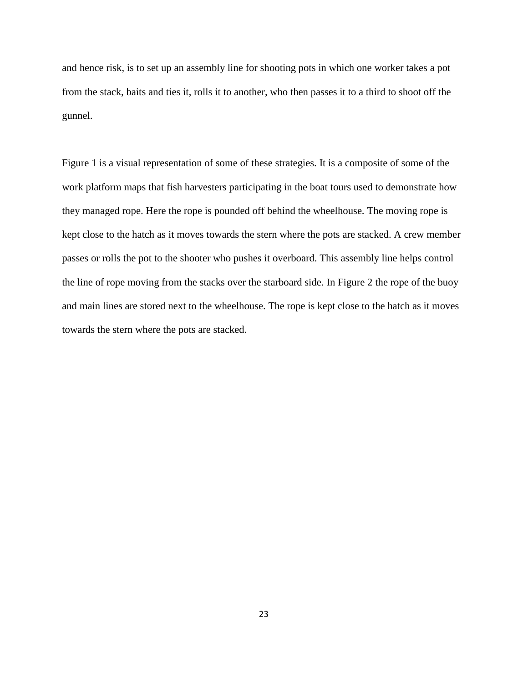and hence risk, is to set up an assembly line for shooting pots in which one worker takes a pot from the stack, baits and ties it, rolls it to another, who then passes it to a third to shoot off the gunnel.

Figure 1 is a visual representation of some of these strategies. It is a composite of some of the work platform maps that fish harvesters participating in the boat tours used to demonstrate how they managed rope. Here the rope is pounded off behind the wheelhouse. The moving rope is kept close to the hatch as it moves towards the stern where the pots are stacked. A crew member passes or rolls the pot to the shooter who pushes it overboard. This assembly line helps control the line of rope moving from the stacks over the starboard side. In Figure 2 the rope of the buoy and main lines are stored next to the wheelhouse. The rope is kept close to the hatch as it moves towards the stern where the pots are stacked.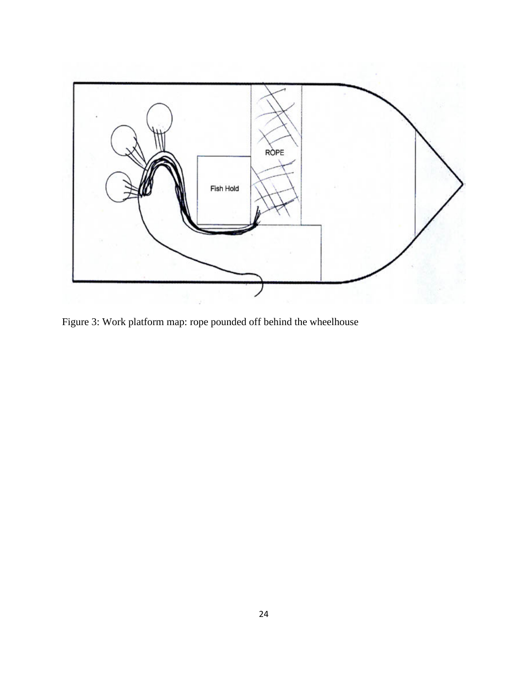

Figure 3: Work platform map: rope pounded off behind the wheelhouse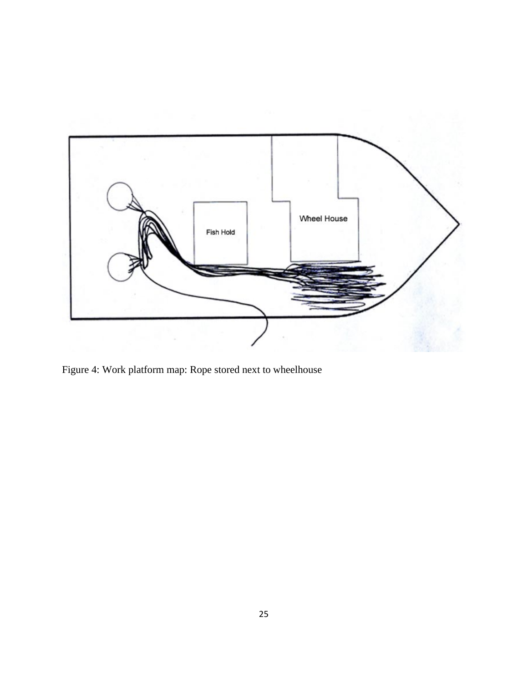

Figure 4: Work platform map: Rope stored next to wheelhouse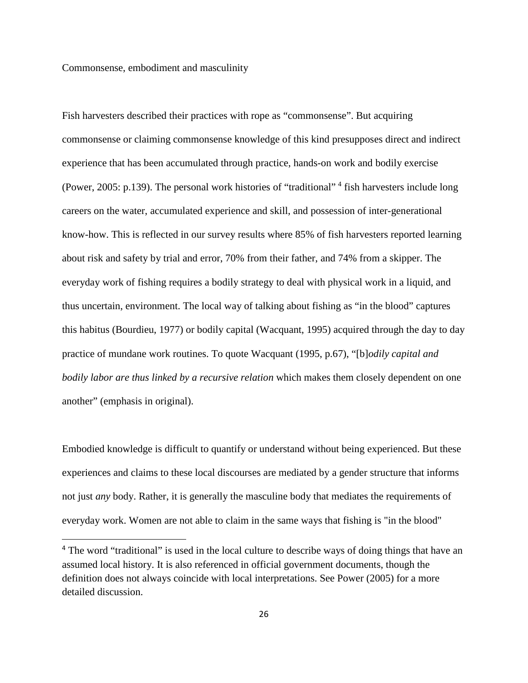### Commonsense, embodiment and masculinity

l

Fish harvesters described their practices with rope as "commonsense". But acquiring commonsense or claiming commonsense knowledge of this kind presupposes direct and indirect experience that has been accumulated through practice, hands-on work and bodily exercise (Power, 2005: p.139). The personal work histories of "traditional" [4](#page-25-0) fish harvesters include long careers on the water, accumulated experience and skill, and possession of inter-generational know-how. This is reflected in our survey results where 85% of fish harvesters reported learning about risk and safety by trial and error, 70% from their father, and 74% from a skipper. The everyday work of fishing requires a bodily strategy to deal with physical work in a liquid, and thus uncertain, environment. The local way of talking about fishing as "in the blood" captures this habitus (Bourdieu, 1977) or bodily capital (Wacquant, 1995) acquired through the day to day practice of mundane work routines. To quote Wacquant (1995, p.67), "[b]*odily capital and bodily labor are thus linked by a recursive relation* which makes them closely dependent on one another" (emphasis in original).

Embodied knowledge is difficult to quantify or understand without being experienced. But these experiences and claims to these local discourses are mediated by a gender structure that informs not just *any* body. Rather, it is generally the masculine body that mediates the requirements of everyday work. Women are not able to claim in the same ways that fishing is "in the blood"

<span id="page-25-0"></span><sup>&</sup>lt;sup>4</sup> The word "traditional" is used in the local culture to describe ways of doing things that have an assumed local history. It is also referenced in official government documents, though the definition does not always coincide with local interpretations. See Power (2005) for a more detailed discussion.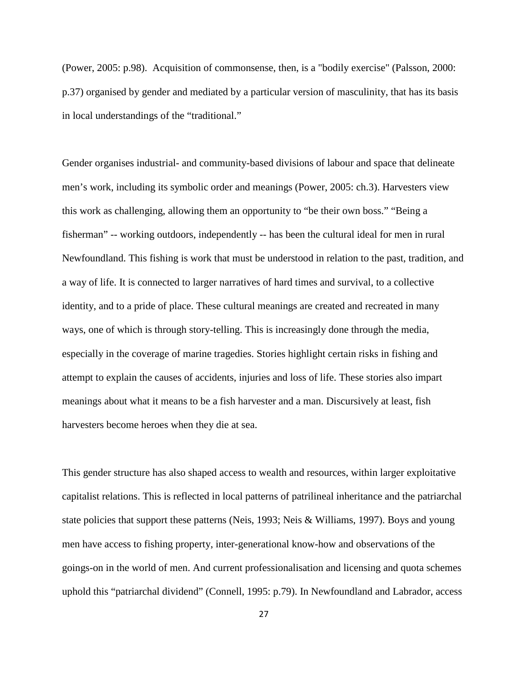(Power, 2005: p.98). Acquisition of commonsense, then, is a "bodily exercise" (Palsson, 2000: p.37) organised by gender and mediated by a particular version of masculinity, that has its basis in local understandings of the "traditional."

Gender organises industrial- and community-based divisions of labour and space that delineate men's work, including its symbolic order and meanings (Power, 2005: ch.3). Harvesters view this work as challenging, allowing them an opportunity to "be their own boss." "Being a fisherman" -- working outdoors, independently -- has been the cultural ideal for men in rural Newfoundland. This fishing is work that must be understood in relation to the past, tradition, and a way of life. It is connected to larger narratives of hard times and survival, to a collective identity, and to a pride of place. These cultural meanings are created and recreated in many ways, one of which is through story-telling. This is increasingly done through the media, especially in the coverage of marine tragedies. Stories highlight certain risks in fishing and attempt to explain the causes of accidents, injuries and loss of life. These stories also impart meanings about what it means to be a fish harvester and a man. Discursively at least, fish harvesters become heroes when they die at sea.

This gender structure has also shaped access to wealth and resources, within larger exploitative capitalist relations. This is reflected in local patterns of patrilineal inheritance and the patriarchal state policies that support these patterns (Neis, 1993; Neis & Williams, 1997). Boys and young men have access to fishing property, inter-generational know-how and observations of the goings-on in the world of men. And current professionalisation and licensing and quota schemes uphold this "patriarchal dividend" (Connell, 1995: p.79). In Newfoundland and Labrador, access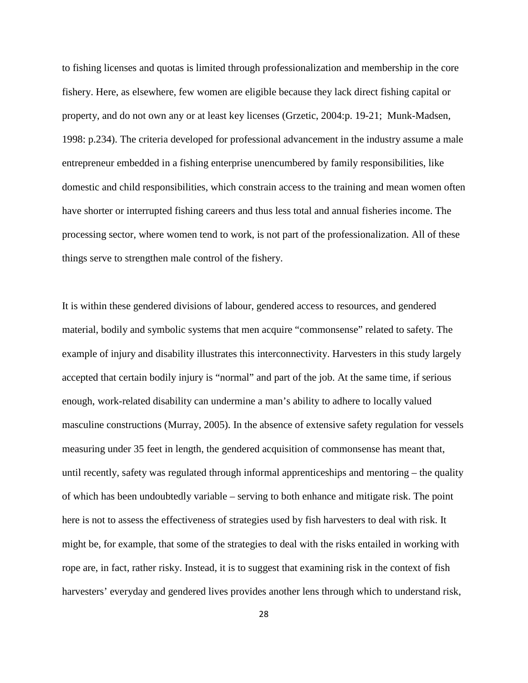to fishing licenses and quotas is limited through professionalization and membership in the core fishery. Here, as elsewhere, few women are eligible because they lack direct fishing capital or property, and do not own any or at least key licenses (Grzetic, 2004:p. 19-21; Munk-Madsen, 1998: p.234). The criteria developed for professional advancement in the industry assume a male entrepreneur embedded in a fishing enterprise unencumbered by family responsibilities, like domestic and child responsibilities, which constrain access to the training and mean women often have shorter or interrupted fishing careers and thus less total and annual fisheries income. The processing sector, where women tend to work, is not part of the professionalization. All of these things serve to strengthen male control of the fishery.

It is within these gendered divisions of labour, gendered access to resources, and gendered material, bodily and symbolic systems that men acquire "commonsense" related to safety. The example of injury and disability illustrates this interconnectivity. Harvesters in this study largely accepted that certain bodily injury is "normal" and part of the job. At the same time, if serious enough, work-related disability can undermine a man's ability to adhere to locally valued masculine constructions (Murray, 2005). In the absence of extensive safety regulation for vessels measuring under 35 feet in length, the gendered acquisition of commonsense has meant that, until recently, safety was regulated through informal apprenticeships and mentoring – the quality of which has been undoubtedly variable – serving to both enhance and mitigate risk. The point here is not to assess the effectiveness of strategies used by fish harvesters to deal with risk. It might be, for example, that some of the strategies to deal with the risks entailed in working with rope are, in fact, rather risky. Instead, it is to suggest that examining risk in the context of fish harvesters' everyday and gendered lives provides another lens through which to understand risk,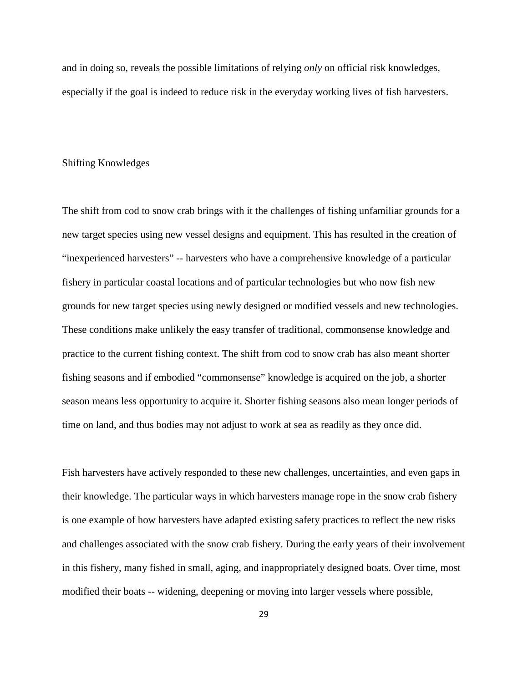and in doing so, reveals the possible limitations of relying *only* on official risk knowledges, especially if the goal is indeed to reduce risk in the everyday working lives of fish harvesters.

# Shifting Knowledges

The shift from cod to snow crab brings with it the challenges of fishing unfamiliar grounds for a new target species using new vessel designs and equipment. This has resulted in the creation of "inexperienced harvesters" -- harvesters who have a comprehensive knowledge of a particular fishery in particular coastal locations and of particular technologies but who now fish new grounds for new target species using newly designed or modified vessels and new technologies. These conditions make unlikely the easy transfer of traditional, commonsense knowledge and practice to the current fishing context. The shift from cod to snow crab has also meant shorter fishing seasons and if embodied "commonsense" knowledge is acquired on the job, a shorter season means less opportunity to acquire it. Shorter fishing seasons also mean longer periods of time on land, and thus bodies may not adjust to work at sea as readily as they once did.

Fish harvesters have actively responded to these new challenges, uncertainties, and even gaps in their knowledge. The particular ways in which harvesters manage rope in the snow crab fishery is one example of how harvesters have adapted existing safety practices to reflect the new risks and challenges associated with the snow crab fishery. During the early years of their involvement in this fishery, many fished in small, aging, and inappropriately designed boats. Over time, most modified their boats -- widening, deepening or moving into larger vessels where possible,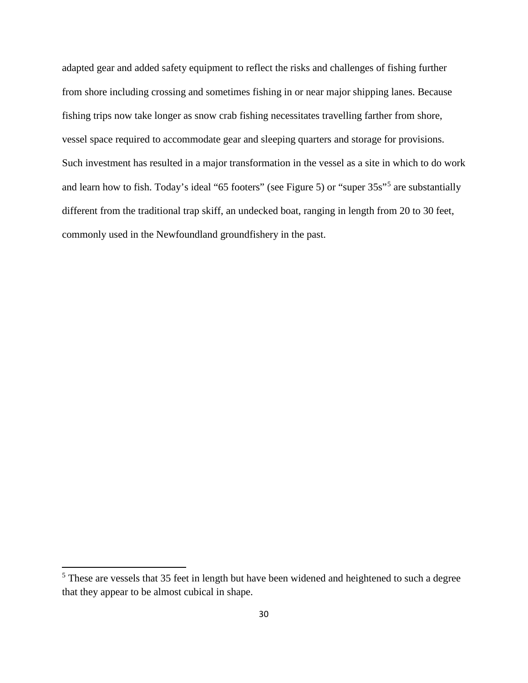adapted gear and added safety equipment to reflect the risks and challenges of fishing further from shore including crossing and sometimes fishing in or near major shipping lanes. Because fishing trips now take longer as snow crab fishing necessitates travelling farther from shore, vessel space required to accommodate gear and sleeping quarters and storage for provisions. Such investment has resulted in a major transformation in the vessel as a site in which to do work and learn how to fish. Today's ideal "65 footers" (see Figure 5) or "super 35s"[5](#page-29-0) are substantially different from the traditional trap skiff, an undecked boat, ranging in length from 20 to 30 feet, commonly used in the Newfoundland groundfishery in the past.

 $\overline{\phantom{a}}$ 

<span id="page-29-0"></span><sup>&</sup>lt;sup>5</sup> These are vessels that 35 feet in length but have been widened and heightened to such a degree that they appear to be almost cubical in shape.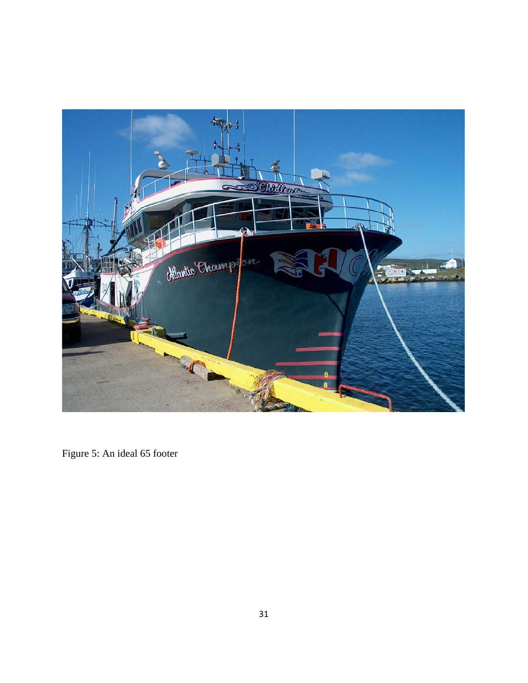

Figure 5: An ideal 65 footer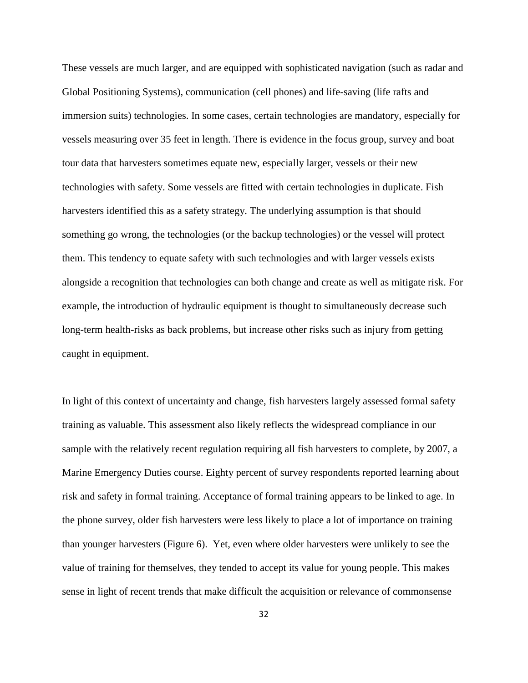These vessels are much larger, and are equipped with sophisticated navigation (such as radar and Global Positioning Systems), communication (cell phones) and life-saving (life rafts and immersion suits) technologies. In some cases, certain technologies are mandatory, especially for vessels measuring over 35 feet in length. There is evidence in the focus group, survey and boat tour data that harvesters sometimes equate new, especially larger, vessels or their new technologies with safety. Some vessels are fitted with certain technologies in duplicate. Fish harvesters identified this as a safety strategy. The underlying assumption is that should something go wrong, the technologies (or the backup technologies) or the vessel will protect them. This tendency to equate safety with such technologies and with larger vessels exists alongside a recognition that technologies can both change and create as well as mitigate risk. For example, the introduction of hydraulic equipment is thought to simultaneously decrease such long-term health-risks as back problems, but increase other risks such as injury from getting caught in equipment.

In light of this context of uncertainty and change, fish harvesters largely assessed formal safety training as valuable. This assessment also likely reflects the widespread compliance in our sample with the relatively recent regulation requiring all fish harvesters to complete, by 2007, a Marine Emergency Duties course. Eighty percent of survey respondents reported learning about risk and safety in formal training. Acceptance of formal training appears to be linked to age. In the phone survey, older fish harvesters were less likely to place a lot of importance on training than younger harvesters (Figure 6). Yet, even where older harvesters were unlikely to see the value of training for themselves, they tended to accept its value for young people. This makes sense in light of recent trends that make difficult the acquisition or relevance of commonsense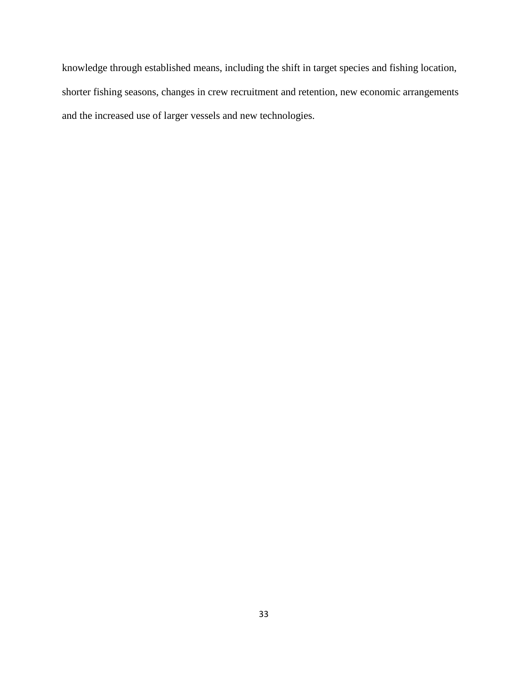knowledge through established means, including the shift in target species and fishing location, shorter fishing seasons, changes in crew recruitment and retention, new economic arrangements and the increased use of larger vessels and new technologies.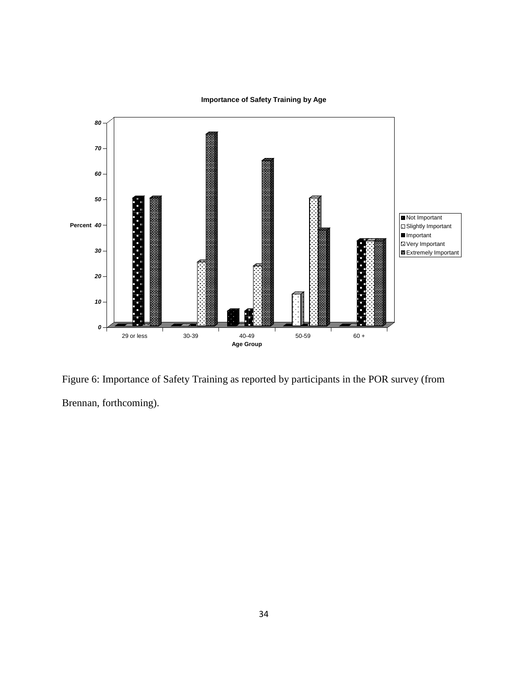

**Importance of Safety Training by Age**

Figure 6: Importance of Safety Training as reported by participants in the POR survey (from Brennan, forthcoming).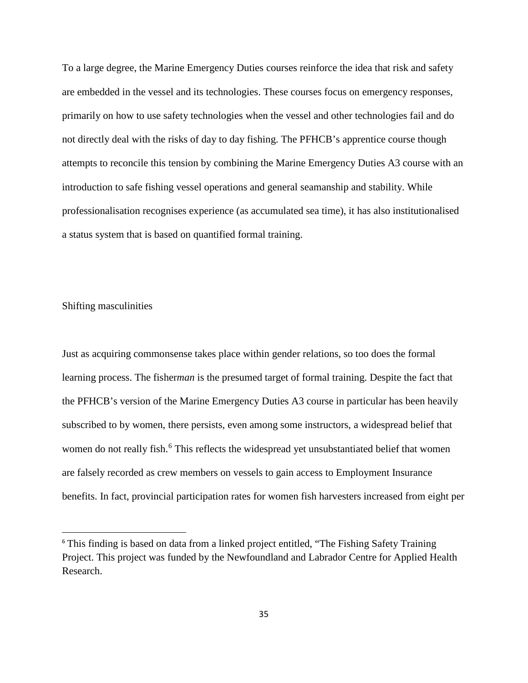To a large degree, the Marine Emergency Duties courses reinforce the idea that risk and safety are embedded in the vessel and its technologies. These courses focus on emergency responses, primarily on how to use safety technologies when the vessel and other technologies fail and do not directly deal with the risks of day to day fishing. The PFHCB's apprentice course though attempts to reconcile this tension by combining the Marine Emergency Duties A3 course with an introduction to safe fishing vessel operations and general seamanship and stability. While professionalisation recognises experience (as accumulated sea time), it has also institutionalised a status system that is based on quantified formal training.

# Shifting masculinities

 $\overline{\phantom{a}}$ 

Just as acquiring commonsense takes place within gender relations, so too does the formal learning process. The fisher*man* is the presumed target of formal training. Despite the fact that the PFHCB's version of the Marine Emergency Duties A3 course in particular has been heavily subscribed to by women, there persists, even among some instructors, a widespread belief that women do not really fish.<sup>[6](#page-34-0)</sup> This reflects the widespread yet unsubstantiated belief that women are falsely recorded as crew members on vessels to gain access to Employment Insurance benefits. In fact, provincial participation rates for women fish harvesters increased from eight per

<span id="page-34-0"></span><sup>&</sup>lt;sup>6</sup> This finding is based on data from a linked project entitled, "The Fishing Safety Training Project. This project was funded by the Newfoundland and Labrador Centre for Applied Health Research.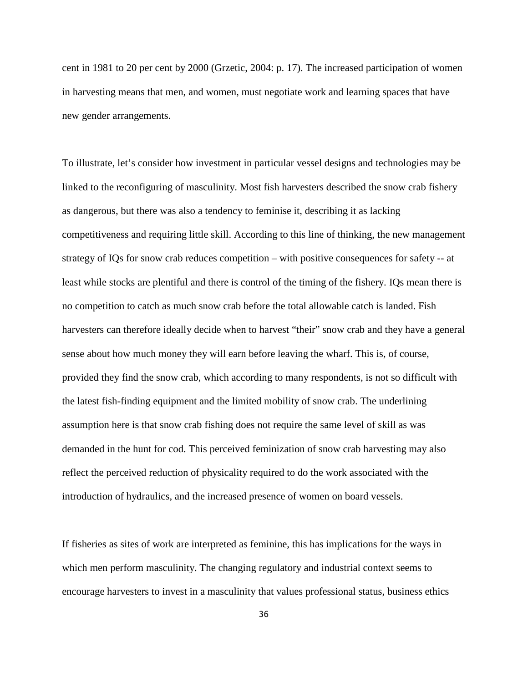cent in 1981 to 20 per cent by 2000 (Grzetic, 2004: p. 17). The increased participation of women in harvesting means that men, and women, must negotiate work and learning spaces that have new gender arrangements.

To illustrate, let's consider how investment in particular vessel designs and technologies may be linked to the reconfiguring of masculinity. Most fish harvesters described the snow crab fishery as dangerous, but there was also a tendency to feminise it, describing it as lacking competitiveness and requiring little skill. According to this line of thinking, the new management strategy of IQs for snow crab reduces competition – with positive consequences for safety -- at least while stocks are plentiful and there is control of the timing of the fishery. IQs mean there is no competition to catch as much snow crab before the total allowable catch is landed. Fish harvesters can therefore ideally decide when to harvest "their" snow crab and they have a general sense about how much money they will earn before leaving the wharf. This is, of course, provided they find the snow crab, which according to many respondents, is not so difficult with the latest fish-finding equipment and the limited mobility of snow crab. The underlining assumption here is that snow crab fishing does not require the same level of skill as was demanded in the hunt for cod. This perceived feminization of snow crab harvesting may also reflect the perceived reduction of physicality required to do the work associated with the introduction of hydraulics, and the increased presence of women on board vessels.

If fisheries as sites of work are interpreted as feminine, this has implications for the ways in which men perform masculinity. The changing regulatory and industrial context seems to encourage harvesters to invest in a masculinity that values professional status, business ethics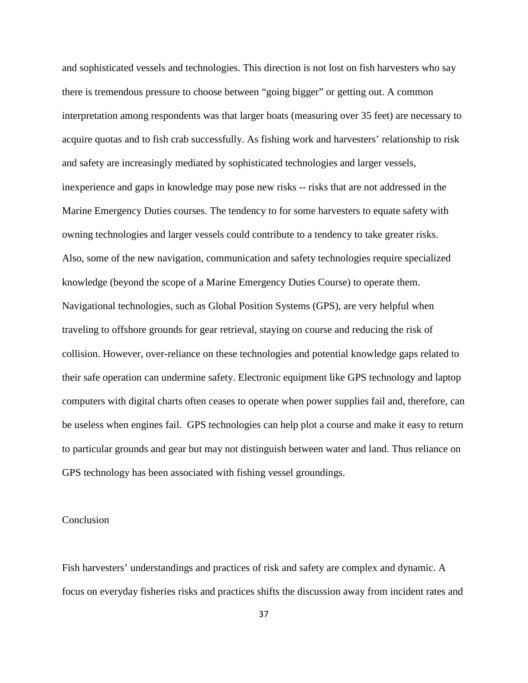and sophisticated vessels and technologies. This direction is not lost on fish harvesters who say there is tremendous pressure to choose between "going bigger" or getting out. A common interpretation among respondents was that larger boats (measuring over 35 feet) are necessary to acquire quotas and to fish crab successfully. As fishing work and harvesters' relationship to risk and safety are increasingly mediated by sophisticated technologies and larger vessels, inexperience and gaps in knowledge may pose new risks -- risks that are not addressed in the Marine Emergency Duties courses. The tendency to for some harvesters to equate safety with owning technologies and larger vessels could contribute to a tendency to take greater risks. Also, some of the new navigation, communication and safety technologies require specialized knowledge (beyond the scope of a Marine Emergency Duties Course) to operate them. Navigational technologies, such as Global Position Systems (GPS), are very helpful when traveling to offshore grounds for gear retrieval, staying on course and reducing the risk of collision. However, over-reliance on these technologies and potential knowledge gaps related to their safe operation can undermine safety. Electronic equipment like GPS technology and laptop computers with digital charts often ceases to operate when power supplies fail and, therefore, can be useless when engines fail. GPS technologies can help plot a course and make it easy to return to particular grounds and gear but may not distinguish between water and land. Thus reliance on GPS technology has been associated with fishing vessel groundings.

## Conclusion

Fish harvesters' understandings and practices of risk and safety are complex and dynamic. A focus on everyday fisheries risks and practices shifts the discussion away from incident rates and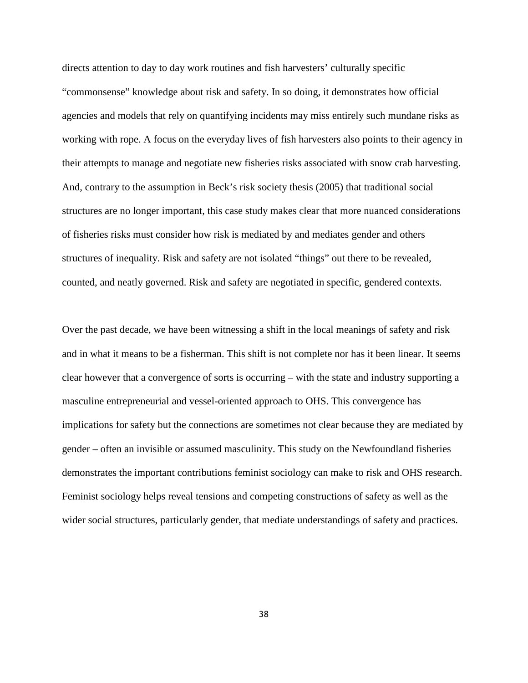directs attention to day to day work routines and fish harvesters' culturally specific "commonsense" knowledge about risk and safety. In so doing, it demonstrates how official agencies and models that rely on quantifying incidents may miss entirely such mundane risks as working with rope. A focus on the everyday lives of fish harvesters also points to their agency in their attempts to manage and negotiate new fisheries risks associated with snow crab harvesting. And, contrary to the assumption in Beck's risk society thesis (2005) that traditional social structures are no longer important, this case study makes clear that more nuanced considerations of fisheries risks must consider how risk is mediated by and mediates gender and others structures of inequality. Risk and safety are not isolated "things" out there to be revealed, counted, and neatly governed. Risk and safety are negotiated in specific, gendered contexts.

Over the past decade, we have been witnessing a shift in the local meanings of safety and risk and in what it means to be a fisherman. This shift is not complete nor has it been linear. It seems clear however that a convergence of sorts is occurring – with the state and industry supporting a masculine entrepreneurial and vessel-oriented approach to OHS. This convergence has implications for safety but the connections are sometimes not clear because they are mediated by gender – often an invisible or assumed masculinity. This study on the Newfoundland fisheries demonstrates the important contributions feminist sociology can make to risk and OHS research. Feminist sociology helps reveal tensions and competing constructions of safety as well as the wider social structures, particularly gender, that mediate understandings of safety and practices.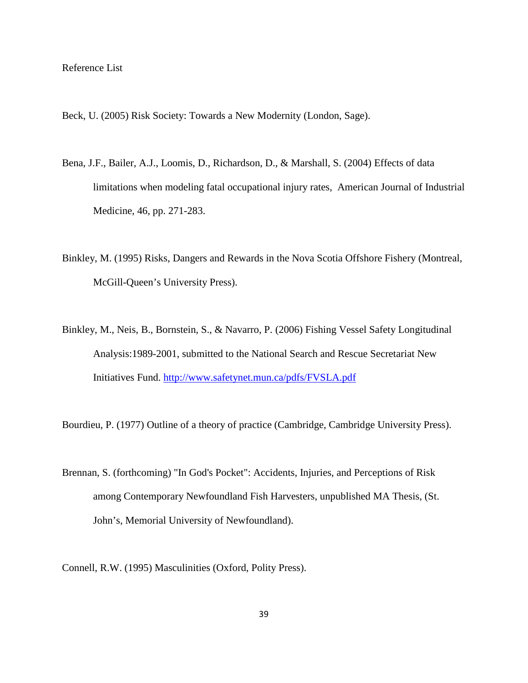### Reference List

Beck, U. (2005) Risk Society: Towards a New Modernity (London, Sage).

- Bena, J.F., Bailer, A.J., Loomis, D., Richardson, D., & Marshall, S. (2004) Effects of data limitations when modeling fatal occupational injury rates, American Journal of Industrial Medicine, 46, pp. 271-283.
- Binkley, M. (1995) Risks, Dangers and Rewards in the Nova Scotia Offshore Fishery (Montreal, McGill-Queen's University Press).
- Binkley, M., Neis, B., Bornstein, S., & Navarro, P. (2006) Fishing Vessel Safety Longitudinal Analysis:1989-2001, submitted to the National Search and Rescue Secretariat New Initiatives Fund. <http://www.safetynet.mun.ca/pdfs/FVSLA.pdf>

Bourdieu, P. (1977) Outline of a theory of practice (Cambridge, Cambridge University Press).

Brennan, S. (forthcoming) "In God's Pocket": Accidents, Injuries, and Perceptions of Risk among Contemporary Newfoundland Fish Harvesters, unpublished MA Thesis, (St. John's, Memorial University of Newfoundland).

Connell, R.W. (1995) Masculinities (Oxford, Polity Press).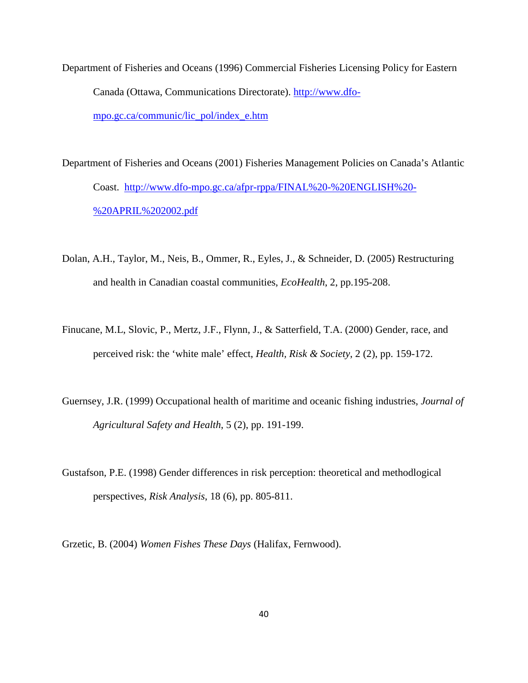- Department of Fisheries and Oceans (1996) Commercial Fisheries Licensing Policy for Eastern Canada (Ottawa, Communications Directorate). [http://www.dfo](http://www.dfo-mpo.gc.ca/communic/lic_pol/index_e.htm)[mpo.gc.ca/communic/lic\\_pol/index\\_e.htm](http://www.dfo-mpo.gc.ca/communic/lic_pol/index_e.htm)
- Department of Fisheries and Oceans (2001) Fisheries Management Policies on Canada's Atlantic Coast. [http://www.dfo-mpo.gc.ca/afpr-rppa/FINAL%20-%20ENGLISH%20-](http://www.dfo-mpo.gc.ca/afpr-rppa/FINAL%20-%20ENGLISH%20-%20APRIL%202002.pdf) [%20APRIL%202002.pdf](http://www.dfo-mpo.gc.ca/afpr-rppa/FINAL%20-%20ENGLISH%20-%20APRIL%202002.pdf)
- Dolan, A.H., Taylor, M., Neis, B., Ommer, R., Eyles, J., & Schneider, D. (2005) Restructuring and health in Canadian coastal communities, *EcoHealth*, 2, pp.195-208.
- Finucane, M.L, Slovic, P., Mertz, J.F., Flynn, J., & Satterfield, T.A. (2000) Gender, race, and perceived risk: the 'white male' effect, *Health, Risk & Society*, 2 (2), pp. 159-172.
- Guernsey, J.R. (1999) Occupational health of maritime and oceanic fishing industries, *Journal of Agricultural Safety and Health*, 5 (2), pp. 191-199.
- Gustafson, P.E. (1998) Gender differences in risk perception: theoretical and methodlogical perspectives, *Risk Analysis*, 18 (6), pp. 805-811.
- Grzetic, B. (2004) *Women Fishes These Days* (Halifax, Fernwood).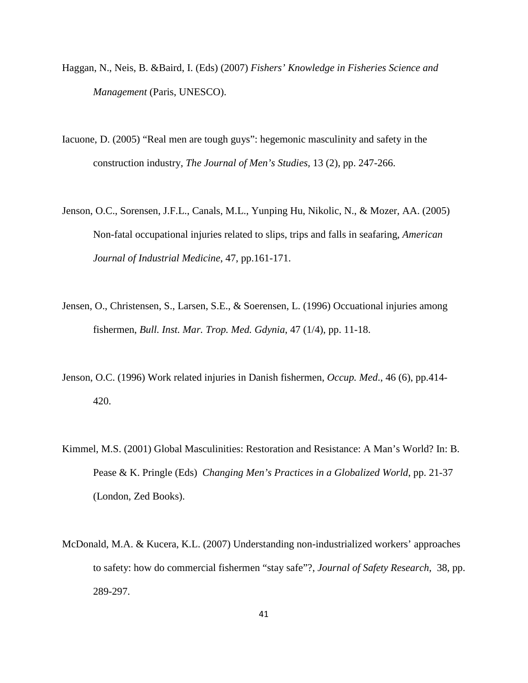- Haggan, N., Neis, B. &Baird, I. (Eds) (2007) *Fishers' Knowledge in Fisheries Science and Management* (Paris, UNESCO).
- Iacuone, D. (2005) "Real men are tough guys": hegemonic masculinity and safety in the construction industry, *The Journal of Men's Studies,* 13 (2), pp. 247-266.
- Jenson, O.C., Sorensen, J.F.L., Canals, M.L., Yunping Hu, Nikolic, N., & Mozer, AA. (2005) Non-fatal occupational injuries related to slips, trips and falls in seafaring, *American Journal of Industrial Medicine*, 47, pp.161-171.
- Jensen, O., Christensen, S., Larsen, S.E., & Soerensen, L. (1996) Occuational injuries among fishermen, *Bull. Inst. Mar. Trop. Med. Gdynia*, 47 (1/4), pp. 11-18.
- Jenson, O.C. (1996) Work related injuries in Danish fishermen, *Occup. Med*., 46 (6), pp.414- 420.
- Kimmel, M.S. (2001) Global Masculinities: Restoration and Resistance: A Man's World? In: B. Pease & K. Pringle (Eds) *Changing Men's Practices in a Globalized World*, pp. 21-37 (London, Zed Books).
- McDonald, M.A. & Kucera, K.L. (2007) Understanding non-industrialized workers' approaches to safety: how do commercial fishermen "stay safe"?, *Journal of Safety Research*, 38, pp. 289-297.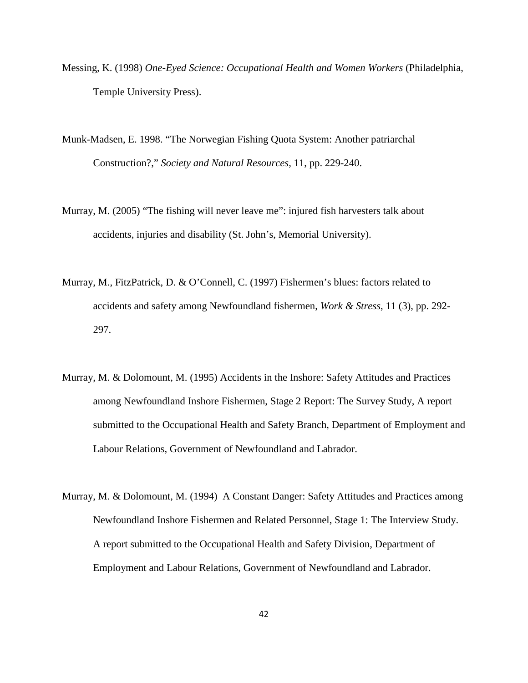- Messing, K. (1998) *One-Eyed Science: Occupational Health and Women Workers* (Philadelphia, Temple University Press).
- Munk-Madsen, E. 1998. "The Norwegian Fishing Quota System: Another patriarchal Construction?," *Society and Natural Resources*, 11, pp. 229-240.
- Murray, M. (2005) "The fishing will never leave me": injured fish harvesters talk about accidents, injuries and disability (St. John's, Memorial University).
- Murray, M., FitzPatrick, D. & O'Connell, C. (1997) Fishermen's blues: factors related to accidents and safety among Newfoundland fishermen, *Work & Stress*, 11 (3), pp. 292- 297.
- Murray, M. & Dolomount, M. (1995) Accidents in the Inshore: Safety Attitudes and Practices among Newfoundland Inshore Fishermen, Stage 2 Report: The Survey Study, A report submitted to the Occupational Health and Safety Branch, Department of Employment and Labour Relations, Government of Newfoundland and Labrador.
- Murray, M. & Dolomount, M. (1994) A Constant Danger: Safety Attitudes and Practices among Newfoundland Inshore Fishermen and Related Personnel, Stage 1: The Interview Study. A report submitted to the Occupational Health and Safety Division, Department of Employment and Labour Relations, Government of Newfoundland and Labrador.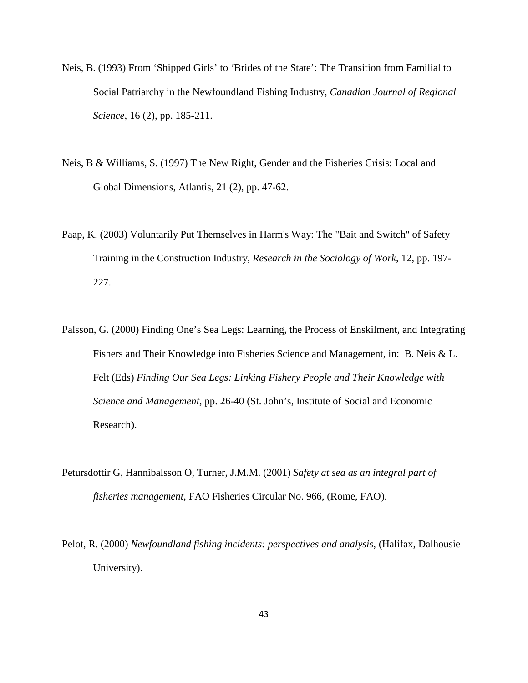- Neis, B. (1993) From 'Shipped Girls' to 'Brides of the State': The Transition from Familial to Social Patriarchy in the Newfoundland Fishing Industry, *Canadian Journal of Regional Science*, 16 (2), pp. 185-211.
- Neis, B & Williams, S. (1997) The New Right, Gender and the Fisheries Crisis: Local and Global Dimensions, Atlantis, 21 (2), pp. 47-62.
- Paap, K. (2003) Voluntarily Put Themselves in Harm's Way: The "Bait and Switch" of Safety Training in the Construction Industry, *Research in the Sociology of Work*, 12, pp. 197- 227.
- Palsson, G. (2000) Finding One's Sea Legs: Learning, the Process of Enskilment, and Integrating Fishers and Their Knowledge into Fisheries Science and Management, in: B. Neis & L. Felt (Eds) *Finding Our Sea Legs: Linking Fishery People and Their Knowledge with Science and Management,* pp. 26-40 (St. John's, Institute of Social and Economic Research).
- Petursdottir G, Hannibalsson O, Turner, J.M.M. (2001) *Safety at sea as an integral part of fisheries management*, FAO Fisheries Circular No. 966, (Rome, FAO).
- Pelot, R. (2000) *Newfoundland fishing incidents: perspectives and analysis*, (Halifax, Dalhousie University).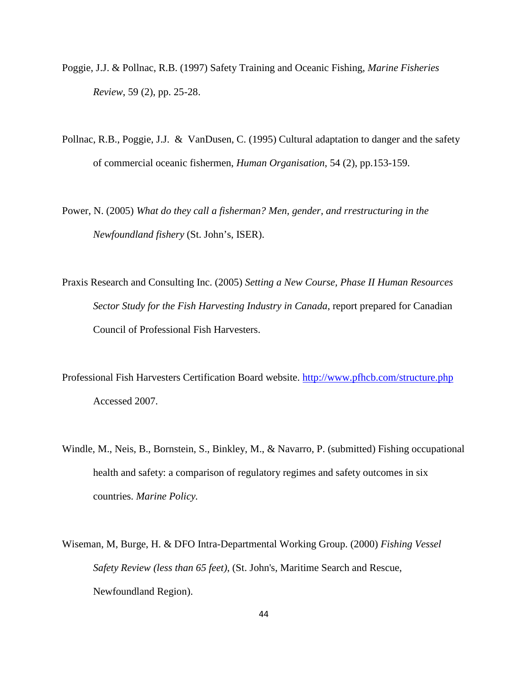- Poggie, J.J. & Pollnac, R.B. (1997) Safety Training and Oceanic Fishing, *Marine Fisheries Review*, 59 (2), pp. 25-28.
- Pollnac, R.B., Poggie, J.J. & VanDusen, C. (1995) Cultural adaptation to danger and the safety of commercial oceanic fishermen, *Human Organisation*, 54 (2), pp.153-159.
- Power, N. (2005) *What do they call a fisherman? Men, gender, and rrestructuring in the Newfoundland fishery* (St. John's, ISER).
- Praxis Research and Consulting Inc. (2005) *Setting a New Course, Phase II Human Resources Sector Study for the Fish Harvesting Industry in Canada*, report prepared for Canadian Council of Professional Fish Harvesters.
- Professional Fish Harvesters Certification Board website.<http://www.pfhcb.com/structure.php> Accessed 2007.
- Windle, M., Neis, B., Bornstein, S., Binkley, M., & Navarro, P. (submitted) Fishing occupational health and safety: a comparison of regulatory regimes and safety outcomes in six countries. *Marine Policy.*
- Wiseman, M, Burge, H. & DFO Intra-Departmental Working Group. (2000) *Fishing Vessel Safety Review (less than 65 feet)*, (St. John's, Maritime Search and Rescue, Newfoundland Region).